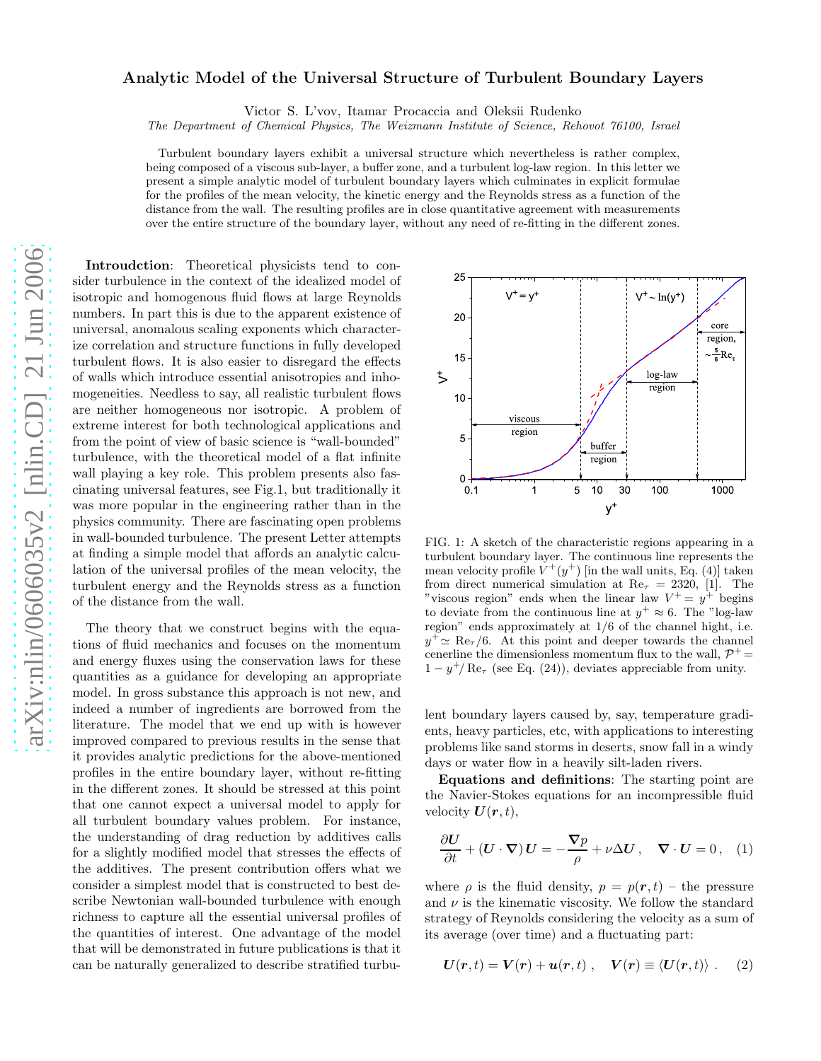## arXiv:nlin/0606035v2 [nlin.CD] 21 Jun 2006 [arXiv:nlin/0606035v2 \[nlin.CD\] 21 Jun 2006](http://arxiv.org/abs/nlin/0606035v2)

## Analytic Model of the Universal Structure of Turbulent Boundary Layers

Victor S. L'vov, Itamar Procaccia and Oleksii Rudenko

The Department of Chemical Physics, The Weizmann Institute of Science, Rehovot 76100, Israel

Turbulent boundary layers exhibit a universal structure which nevertheless is rather complex, being composed of a viscous sub-layer, a buffer zone, and a turbulent log-law region. In this letter we present a simple analytic model of turbulent boundary layers which culminates in explicit formulae for the profiles of the mean velocity, the kinetic energy and the Reynolds stress as a function of the distance from the wall. The resulting profiles are in close quantitative agreement with measurements over the entire structure of the boundary layer, without any need of re-fitting in the different zones.

Introudction: Theoretical physicists tend to consider turbulence in the context of the idealized model of isotropic and homogenous fluid flows at large Reynolds numbers. In part this is due to the apparent existence of universal, anomalous scaling exponents which characterize correlation and structure functions in fully developed turbulent flows. It is also easier to disregard the effects of walls which introduce essential anisotropies and inhomogeneities. Needless to say, all realistic turbulent flows are neither homogeneous nor isotropic. A problem of extreme interest for both technological applications and from the point of view of basic science is "wall-bounded" turbulence, with the theoretical model of a flat infinite wall playing a key role. This problem presents also fascinating universal features, see Fig.1, but traditionally it was more popular in the engineering rather than in the physics community. There are fascinating open problems in wall-bounded turbulence. The present Letter attempts at finding a simple model that affords an analytic calculation of the universal profiles of the mean velocity, the turbulent energy and the Reynolds stress as a function of the distance from the wall.

The theory that we construct begins with the equations of fluid mechanics and focuses on the momentum and energy fluxes using the conservation laws for these quantities as a guidance for developing an appropriate model. In gross substance this approach is not new, and indeed a number of ingredients are borrowed from the literature. The model that we end up with is however improved compared to previous results in the sense that it provides analytic predictions for the above-mentioned profiles in the entire boundary layer, without re-fitting in the different zones. It should be stressed at this point that one cannot expect a universal model to apply for all turbulent boundary values problem. For instance, the understanding of drag reduction by additives calls for a slightly modified model that stresses the effects of the additives. The present contribution offers what we consider a simplest model that is constructed to best describe Newtonian wall-bounded turbulence with enough richness to capture all the essential universal profiles of the quantities of interest. One advantage of the model that will be demonstrated in future publications is that it can be naturally generalized to describe stratified turbu-



FIG. 1: A sketch of the characteristic regions appearing in a turbulent boundary layer. The continuous line represents the mean velocity profile  $V^+(y^+)$  [in the wall units, Eq. (4)] taken from direct numerical simulation at Re<sub> $\tau$ </sub> = 2320, [1]. The "viscous region" ends when the linear law  $V^+=y^+$  begins to deviate from the continuous line at  $y^+ \approx 6$ . The "log-law region" ends approximately at 1/6 of the channel hight, i.e.  $y^{\dagger} \simeq \text{Re}_{\tau}/6$ . At this point and deeper towards the channel cenerline the dimensionless momentum flux to the wall,  $\mathcal{P}^+$  =  $1 - y^{\dagger}/\text{Re}_{\tau}$  (see Eq. (24)), deviates appreciable from unity.

lent boundary layers caused by, say, temperature gradients, heavy particles, etc, with applications to interesting problems like sand storms in deserts, snow fall in a windy days or water flow in a heavily silt-laden rivers.

Equations and definitions: The starting point are the Navier-Stokes equations for an incompressible fluid velocity  $U(r, t)$ ,

$$
\frac{\partial U}{\partial t} + (\mathbf{U} \cdot \nabla) \mathbf{U} = -\frac{\nabla p}{\rho} + \nu \Delta U, \quad \nabla \cdot \mathbf{U} = 0, \quad (1)
$$

where  $\rho$  is the fluid density,  $p = p(r, t)$  – the pressure and  $\nu$  is the kinematic viscosity. We follow the standard strategy of Reynolds considering the velocity as a sum of its average (over time) and a fluctuating part:

$$
\boldsymbol{U}(\boldsymbol{r},t) = \boldsymbol{V}(\boldsymbol{r}) + \boldsymbol{u}(\boldsymbol{r},t) \ , \quad \boldsymbol{V}(\boldsymbol{r}) \equiv \langle \boldsymbol{U}(\boldsymbol{r},t) \rangle \ . \eqno(2)
$$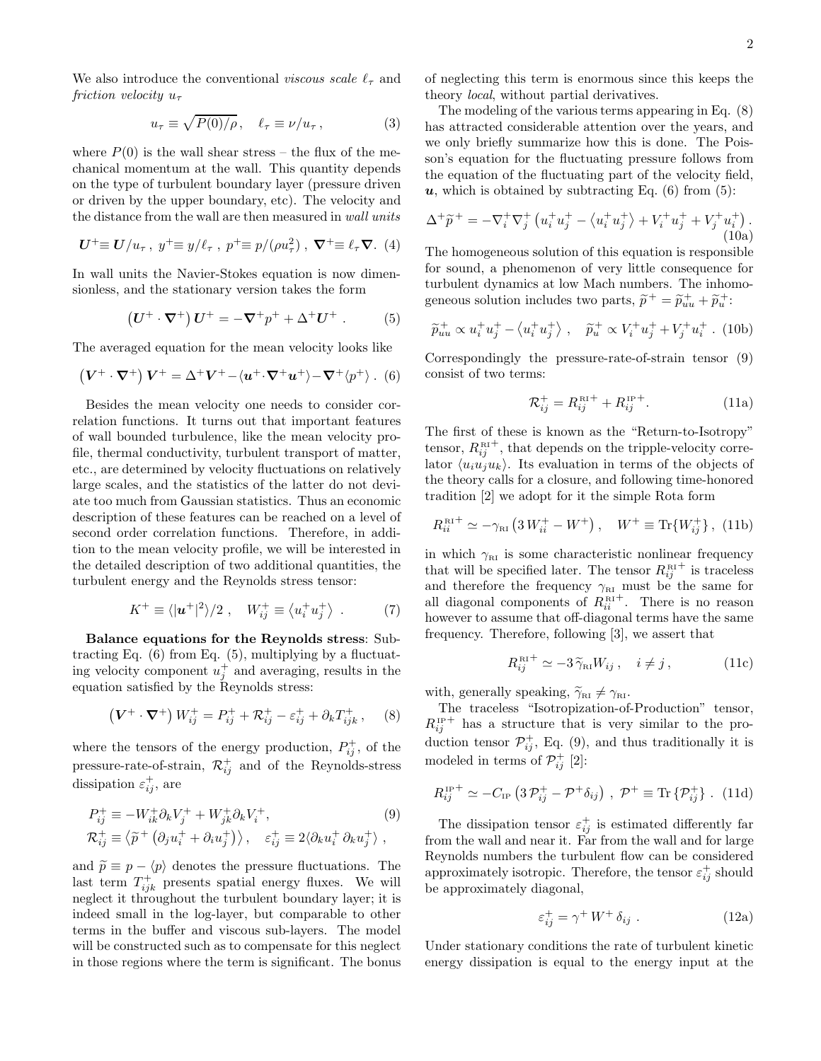We also introduce the conventional viscous scale  $\ell_{\tau}$  and friction velocity  $u_{\tau}$ 

$$
u_{\tau} \equiv \sqrt{P(0)/\rho}, \quad \ell_{\tau} \equiv \nu/u_{\tau}, \tag{3}
$$

where  $P(0)$  is the wall shear stress – the flux of the mechanical momentum at the wall. This quantity depends on the type of turbulent boundary layer (pressure driven or driven by the upper boundary, etc). The velocity and the distance from the wall are then measured in wall units

$$
U^+\equiv U/u_\tau, y^+\equiv y/\ell_\tau, p^+\equiv p/(\rho u_\tau^2), \nabla^+\equiv \ell_\tau \nabla. (4)
$$

In wall units the Navier-Stokes equation is now dimensionless, and the stationary version takes the form

$$
(U^+ \cdot \nabla^+) U^+ = -\nabla^+ p^+ + \Delta^+ U^+ . \tag{5}
$$

The averaged equation for the mean velocity looks like

$$
\left(\boldsymbol{V}^+\cdot\boldsymbol{\nabla}^+\right)\boldsymbol{V}^+ = \Delta^+\boldsymbol{V}^+ - \langle\boldsymbol{u}^+\cdot\boldsymbol{\nabla}^+\boldsymbol{u}^+\rangle - \boldsymbol{\nabla}^+\langle p^+\rangle. \tag{6}
$$

Besides the mean velocity one needs to consider correlation functions. It turns out that important features of wall bounded turbulence, like the mean velocity profile, thermal conductivity, turbulent transport of matter, etc., are determined by velocity fluctuations on relatively large scales, and the statistics of the latter do not deviate too much from Gaussian statistics. Thus an economic description of these features can be reached on a level of second order correlation functions. Therefore, in addition to the mean velocity profile, we will be interested in the detailed description of two additional quantities, the turbulent energy and the Reynolds stress tensor:

$$
K^{+} \equiv \langle |u^{+}|^{2} \rangle / 2 \ , \quad W_{ij}^{+} \equiv \langle u_{i}^{+} u_{j}^{+} \rangle \ . \tag{7}
$$

Balance equations for the Reynolds stress: Subtracting Eq. (6) from Eq. (5), multiplying by a fluctuating velocity component  $u_j^+$  and averaging, results in the equation satisfied by the Reynolds stress:

$$
\left(V^{+} \cdot \nabla^{+}\right) W_{ij}^{+} = P_{ij}^{+} + \mathcal{R}_{ij}^{+} - \varepsilon_{ij}^{+} + \partial_{k} T_{ijk}^{+} ,\qquad (8)
$$

where the tensors of the energy production,  $P_{ij}^{+}$ , of the pressure-rate-of-strain,  $\mathcal{R}_{ij}^+$  and of the Reynolds-stress dissipation  $\varepsilon_{ij}^+$ , are

$$
P_{ij}^{+} \equiv -W_{ik}^{+} \partial_{k} V_{j}^{+} + W_{jk}^{+} \partial_{k} V_{i}^{+},
$$
  
\n
$$
\mathcal{R}_{ij}^{+} \equiv \langle \widetilde{p}^{+} (\partial_{j} u_{i}^{+} + \partial_{i} u_{j}^{+}) \rangle, \quad \varepsilon_{ij}^{+} \equiv 2 \langle \partial_{k} u_{i}^{+} \partial_{k} u_{j}^{+} \rangle,
$$
  
\n(9)

and  $\tilde{p} \equiv p - \langle p \rangle$  denotes the pressure fluctuations. The last term  $T_{ijk}^+$  presents spatial energy fluxes. We will neglect it throughout the turbulent boundary layer; it is indeed small in the log-layer, but comparable to other terms in the buffer and viscous sub-layers. The model will be constructed such as to compensate for this neglect in those regions where the term is significant. The bonus of neglecting this term is enormous since this keeps the theory local, without partial derivatives.

The modeling of the various terms appearing in Eq. (8) has attracted considerable attention over the years, and we only briefly summarize how this is done. The Poisson's equation for the fluctuating pressure follows from the equation of the fluctuating part of the velocity field,  $u$ , which is obtained by subtracting Eq. (6) from (5):

$$
\Delta^+\widetilde{p}^+ = -\nabla_i^+\nabla_j^+\left(u_i^+u_j^+ - \langle u_i^+u_j^+\rangle + V_i^+u_j^+ + V_j^+u_i^+\right). \tag{10a}
$$

The homogeneous solution of this equation is responsible for sound, a phenomenon of very little consequence for turbulent dynamics at low Mach numbers. The inhomogeneous solution includes two parts,  $\tilde{p}^+ = \tilde{p}_{uu}^+ + \tilde{p}_u^+$ :

$$
\widetilde{p}_{uu}^+ \propto u_i^+ u_j^+ - \langle u_i^+ u_j^+ \rangle \ , \quad \widetilde{p}_u^+ \propto V_i^+ u_j^+ + V_j^+ u_i^+ \ . \ (10b)
$$

Correspondingly the pressure-rate-of-strain tensor (9) consist of two terms:

$$
\mathcal{R}_{ij}^{+} = R_{ij}^{\text{RI}+} + R_{ij}^{\text{IP}+}.
$$
 (11a)

The first of these is known as the "Return-to-Isotropy" tensor,  $R_{ij}^{\text{RI}}$ <sup>+</sup>, that depends on the tripple-velocity correlator  $\langle u_i u_j u_k \rangle$ . Its evaluation in terms of the objects of the theory calls for a closure, and following time-honored tradition [2] we adopt for it the simple Rota form

$$
R_{ii}^{\text{RI}^+} \simeq -\gamma_{\text{RI}} \left( 3 W_{ii}^+ - W^+ \right), \quad W^+ \equiv \text{Tr} \{ W_{ij}^+ \}, \text{ (11b)}
$$

in which  $\gamma_{\text{RI}}$  is some characteristic nonlinear frequency that will be specified later. The tensor  $R_{ij}^{\text{RI}^+}$  is traceless and therefore the frequency  $\gamma_{\text{RI}}$  must be the same for all diagonal components of  $R_{ii}^{\text{RI}+}$ . There is no reason however to assume that off-diagonal terms have the same frequency. Therefore, following [3], we assert that

$$
R_{ij}^{\text{RI}+} \simeq -3\,\widetilde{\gamma}_{\text{RI}} W_{ij} \,, \quad i \neq j \,, \tag{11c}
$$

with, generally speaking,  $\widetilde{\gamma}_{\text{RI}} \neq \gamma_{\text{RI}}$ .

The traceless "Isotropization-of-Production" tensor,  $R_{ij}^{\text{IP}+}$  has a structure that is very similar to the production tensor  $\mathcal{P}_{ij}^{+}$ , Eq. (9), and thus traditionally it is modeled in terms of  $\mathcal{P}_{ij}^+$  [2]:

$$
R_{ij}^{\text{IP}+} \simeq -C_{\text{IP}} \left( 3 \, \mathcal{P}_{ij}^+ - \mathcal{P}^+ \delta_{ij} \right) , \, \mathcal{P}^+ \equiv \text{Tr} \left\{ \mathcal{P}_{ij}^+ \right\} . \, (11d)
$$

The dissipation tensor  $\varepsilon_{ij}^+$  is estimated differently far from the wall and near it. Far from the wall and for large Reynolds numbers the turbulent flow can be considered approximately isotropic. Therefore, the tensor  $\varepsilon_{ij}^+$  should be approximately diagonal,

$$
\varepsilon_{ij}^+ = \gamma^+ W^+ \, \delta_{ij} \tag{12a}
$$

Under stationary conditions the rate of turbulent kinetic energy dissipation is equal to the energy input at the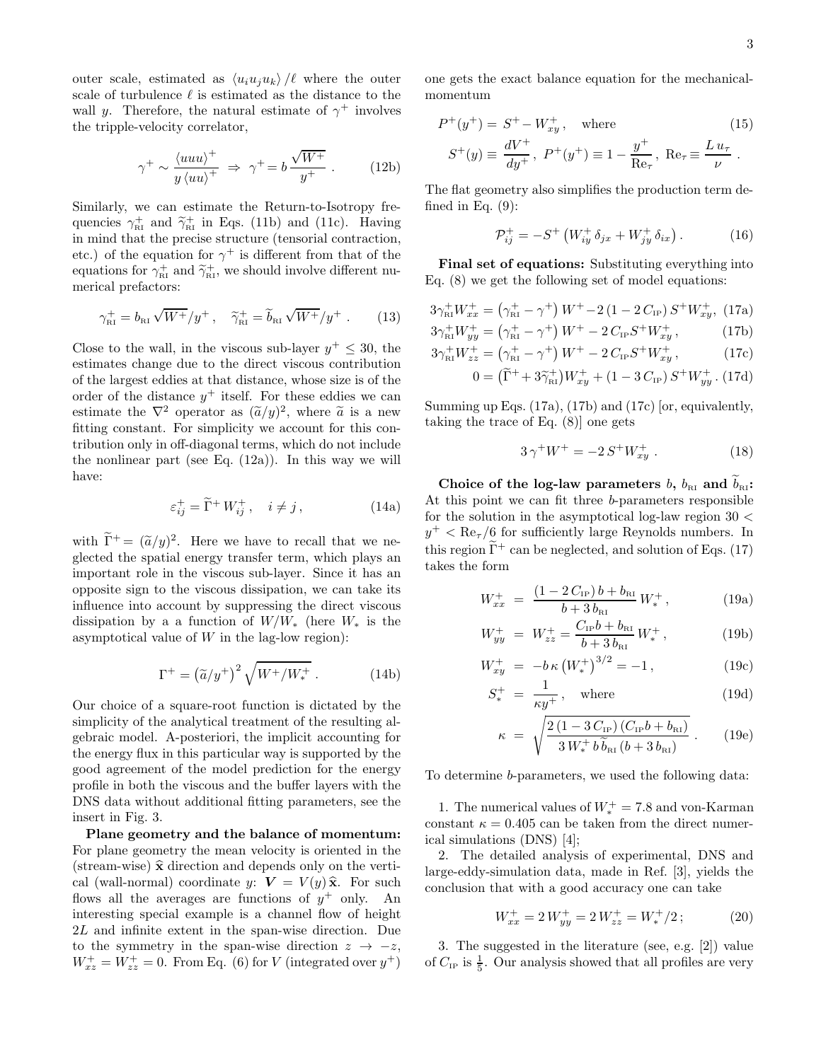outer scale, estimated as  $\langle u_i u_j u_k \rangle / \ell$  where the outer scale of turbulence  $\ell$  is estimated as the distance to the wall y. Therefore, the natural estimate of  $\gamma^+$  involves the tripple-velocity correlator,

$$
\gamma^+ \sim \frac{\langle uuu\rangle^+}{y\langle uu\rangle^+} \Rightarrow \gamma^+ = b\frac{\sqrt{W^+}}{y^+} \ . \tag{12b}
$$

Similarly, we can estimate the Return-to-Isotropy frequencies  $\gamma_{\text{R1}}^+$  and  $\tilde{\gamma}_{\text{R1}}^+$  in Eqs. (11b) and (11c). Having in mind that the precise structure (tensorial contraction, etc.) of the equation for  $\gamma^+$  is different from that of the equations for  $\gamma_{\text{RI}}^+$  and  $\widetilde{\gamma}_{\text{RI}}^+$ , we should involve different numerical prefactors:

$$
\gamma_{\text{RI}}^+ = b_{\text{RI}} \sqrt{W^+}/y^+ \,, \quad \widetilde{\gamma}_{\text{RI}}^+ = \widetilde{b}_{\text{RI}} \sqrt{W^+}/y^+ \,. \tag{13}
$$

Close to the wall, in the viscous sub-layer  $y^+ \leq 30$ , the estimates change due to the direct viscous contribution of the largest eddies at that distance, whose size is of the order of the distance  $y^+$  itself. For these eddies we can estimate the  $\nabla^2$  operator as  $(\tilde{a}/y)^2$ , where  $\tilde{a}$  is a new fitting constant. For simplicity we account for this contribution only in off-diagonal terms, which do not include the nonlinear part (see Eq.  $(12a)$ ). In this way we will have:

$$
\varepsilon_{ij}^+ = \widetilde{\Gamma}^+ W^+_{ij}, \quad i \neq j \,, \tag{14a}
$$

with  $\widetilde{\Gamma}^+ = (\widetilde{a}/y)^2$ . Here we have to recall that we neglected the spatial energy transfer term, which plays an important role in the viscous sub-layer. Since it has an opposite sign to the viscous dissipation, we can take its influence into account by suppressing the direct viscous dissipation by a a function of  $W/W_*$  (here  $W_*$  is the asymptotical value of  $W$  in the lag-low region):

$$
\Gamma^{+} = \left(\tilde{a}/y^{+}\right)^{2} \sqrt{W^{+}/W_{*}^{+}}\ .\tag{14b}
$$

Our choice of a square-root function is dictated by the simplicity of the analytical treatment of the resulting algebraic model. A-posteriori, the implicit accounting for the energy flux in this particular way is supported by the good agreement of the model prediction for the energy profile in both the viscous and the buffer layers with the DNS data without additional fitting parameters, see the insert in Fig. 3.

Plane geometry and the balance of momentum: For plane geometry the mean velocity is oriented in the (stream-wise)  $\hat{x}$  direction and depends only on the vertical (wall-normal) coordinate y:  $V = V(y)\hat{x}$ . For such flows all the averages are functions of  $y^+$  only. An interesting special example is a channel flow of height 2L and infinite extent in the span-wise direction. Due to the symmetry in the span-wise direction  $z \rightarrow -z$ ,  $W_{xz}^+ = W_{zz}^+ = 0$ . From Eq. (6) for V (integrated over  $y^+$ )

one gets the exact balance equation for the mechanicalmomentum

$$
P^{+}(y^{+}) = S^{+} - W_{xy}^{+}, \text{ where}
$$
\n
$$
S^{+}(y) \equiv \frac{dV^{+}}{dy^{+}}, \ P^{+}(y^{+}) \equiv 1 - \frac{y^{+}}{\text{Re}_{\tau}}, \ \text{Re}_{\tau} \equiv \frac{L u_{\tau}}{\nu}.
$$
\n(15)

The flat geometry also simplifies the production term defined in Eq.  $(9)$ :

$$
\mathcal{P}_{ij}^{+} = -S^{+} \left( W_{iy}^{+} \delta_{jx} + W_{jy}^{+} \delta_{ix} \right). \tag{16}
$$

Final set of equations: Substituting everything into Eq. (8) we get the following set of model equations:

$$
3\gamma_{\rm RI}^+ W_{xx}^+ = (\gamma_{\rm RI}^+ - \gamma^+) W^+ - 2 (1 - 2 C_{\rm IP}) S^+ W_{xy}^+, (17a)
$$

$$
3\gamma_{\rm RI}^+ W_{yy}^+ = (\gamma_{\rm RI}^+ - \gamma^+) W^+ - 2 C_{\rm IP} S^+ W_{xy}^+, \qquad (17b)
$$

$$
3\gamma_{\rm RI}^+ W_{yy}^+ = (\gamma_{\rm RI}^+ - \gamma^+) W^+ - 2 C_{\rm IP} S^+ W_{xy}^+, \qquad (17b)
$$
  

$$
3\gamma_{\rm RI}^+ W_{zz}^+ = (\gamma_{\rm RI}^+ - \gamma^+) W^+ - 2 C_{\rm IP} S^+ W_{xy}^+, \qquad (17c)
$$

$$
0 = (\tilde{\Gamma}^+ + 3\tilde{\gamma}_{\rm RI}^+) W_{xy}^+ + (1 - 3 C_{\rm IP}) S^+ W_{yy}^+ . (17d)
$$

Summing up Eqs. (17a), (17b) and (17c) [or, equivalently, taking the trace of Eq. (8)] one gets

$$
3\,\gamma^+W^+ = -2\,S^+W^+_{xy} \ . \tag{18}
$$

Choice of the log-law parameters b,  $b_{\text{RI}}$  and  $\widetilde{b}_{\text{RI}}$ : At this point we can fit three b-parameters responsible for the solution in the asymptotical log-law region  $30 <$  $y^+$  < Re<sub> $\tau$ </sub>/6 for sufficiently large Reynolds numbers. In this region  $\tilde{\Gamma}^+$  can be neglected, and solution of Eqs. (17) takes the form

$$
W_{xx}^{+} = \frac{(1 - 2C_{\text{IP}})b + b_{\text{RI}}}{b + 3b_{\text{RI}}}W_{*}^{+}, \qquad (19a)
$$

$$
W_{yy}^{+} = W_{zz}^{+} = \frac{C_{\rm IP}b + b_{\rm RI}}{b + 3 b_{\rm RI}} W_{*}^{+}, \qquad (19b)
$$

$$
W_{xy}^{+} = -b\,\kappa \left(W_*^{+}\right)^{3/2} = -1\,,\tag{19c}
$$

$$
S_*^+ = \frac{1}{\kappa y^+}, \quad \text{where} \tag{19d}
$$

$$
\kappa = \sqrt{\frac{2(1 - 3C_{\text{IP}})(C_{\text{IP}}b + b_{\text{RI}})}{3W_*^+ b \tilde{b}_{\text{RI}}(b + 3b_{\text{RI}})}}.
$$
 (19e)

To determine b-parameters, we used the following data:

1. The numerical values of  $W_*^+ = 7.8$  and von-Karman constant  $\kappa = 0.405$  can be taken from the direct numerical simulations (DNS) [4];

2. The detailed analysis of experimental, DNS and large-eddy-simulation data, made in Ref. [3], yields the conclusion that with a good accuracy one can take

$$
W_{xx}^+ = 2 W_{yy}^+ = 2 W_{zz}^+ = W_*^+/2 \, ; \tag{20}
$$

3. The suggested in the literature (see, e.g. [2]) value of  $C_{IP}$  is  $\frac{1}{5}$ . Our analysis showed that all profiles are very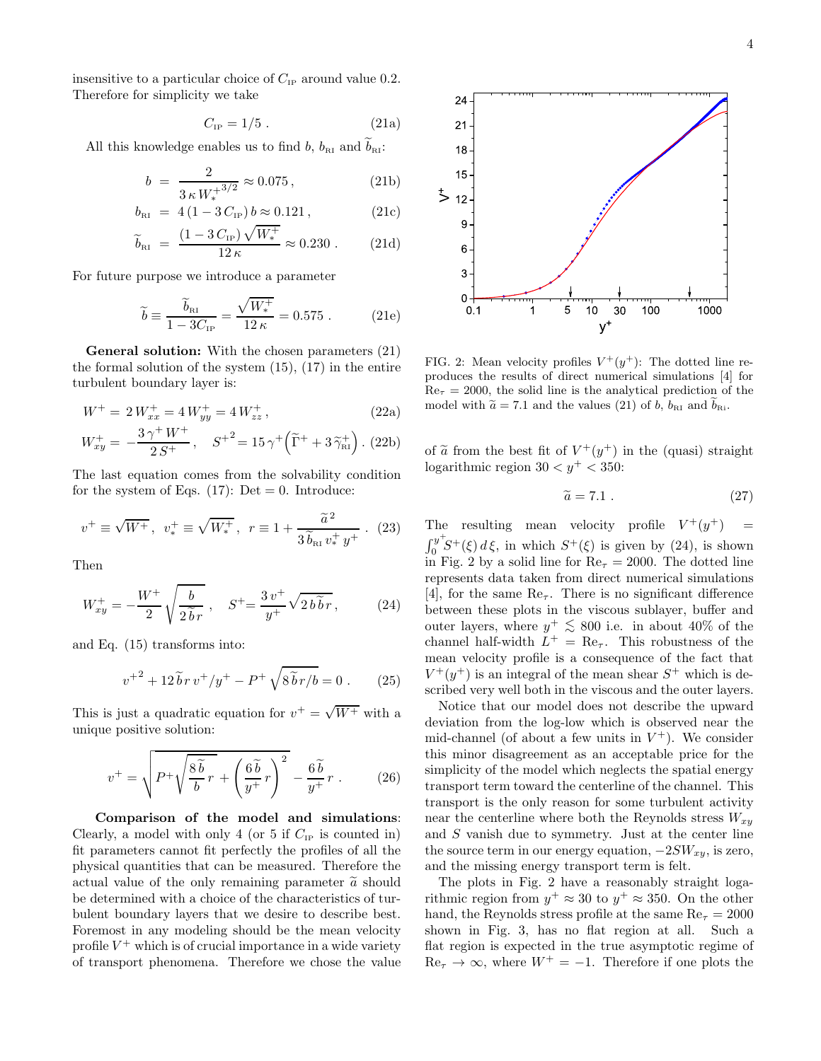insensitive to a particular choice of  $C_{\text{IP}}$  around value 0.2. Therefore for simplicity we take

$$
C_{\rm IP} = 1/5 \ . \tag{21a}
$$

All this knowledge enables us to find b,  $b_{\text{RI}}$  and  $b_{\text{RI}}$ :

$$
b = \frac{2}{3 \kappa W_*^{3/2}} \approx 0.075, \qquad (21b)
$$

$$
b_{\rm RI} = 4(1 - 3C_{\rm IP}) b \approx 0.121 , \qquad (21c)
$$

$$
\tilde{b}_{\text{RI}} = \frac{(1 - 3 C_{\text{IP}}) \sqrt{W_*^+}}{12 \,\kappa} \approx 0.230 \,. \tag{21d}
$$

For future purpose we introduce a parameter

$$
\widetilde{b} \equiv \frac{\widetilde{b}_{\text{R1}}}{1 - 3C_{\text{IP}}} = \frac{\sqrt{W_*^+}}{12 \,\kappa} = 0.575 \,. \tag{21e}
$$

General solution: With the chosen parameters  $(21)$ the formal solution of the system  $(15)$ ,  $(17)$  in the entire turbulent boundary layer is:

$$
W^{+} = 2 W_{xx}^{+} = 4 W_{yy}^{+} = 4 W_{zz}^{+}, \qquad (22a)
$$

$$
W_{xy}^{+} = -\frac{3\,\gamma^{+}\,W^{+}}{2\,S^{+}}, \quad S^{+2} = 15\,\gamma^{+}\left(\widetilde{\Gamma}^{+} + 3\,\widetilde{\gamma}_{\textsc{ri}}^{+}\right). (22b)
$$

The last equation comes from the solvability condition for the system of Eqs.  $(17)$ : Det = 0. Introduce:

$$
v^{+} \equiv \sqrt{W^{+}}, \ v_{*}^{+} \equiv \sqrt{W_{*}^{+}}, \ r \equiv 1 + \frac{\tilde{a}^{2}}{3\tilde{b}_{\text{R1}}v_{*}^{+}y^{+}} \ . \ (23)
$$

Then

$$
W_{xy}^{+} = -\frac{W^{+}}{2} \sqrt{\frac{b}{2\tilde{b}r}} , \quad S^{+} = \frac{3v^{+}}{y^{+}} \sqrt{2b\tilde{b}r} , \quad (24)
$$

and Eq. (15) transforms into:

$$
v^{+2} + 12 \tilde{b} r v^{+}/y^{+} - P^{+} \sqrt{8 \tilde{b} r/b} = 0.
$$
 (25)

This is just a quadratic equation for  $v^+ = \sqrt{W^+}$  with a unique positive solution:

$$
v^{+} = \sqrt{P^{+} \sqrt{\frac{8\tilde{b}}{b}r} + \left(\frac{6\tilde{b}}{y^{+}}r\right)^{2}} - \frac{6\tilde{b}}{y^{+}}r.
$$
 (26)

Comparison of the model and simulations: Clearly, a model with only 4 (or 5 if  $C_{IP}$  is counted in) fit parameters cannot fit perfectly the profiles of all the physical quantities that can be measured. Therefore the actual value of the only remaining parameter  $\tilde{a}$  should be determined with a choice of the characteristics of turbulent boundary layers that we desire to describe best. Foremost in any modeling should be the mean velocity profile  $V^+$  which is of crucial importance in a wide variety of transport phenomena. Therefore we chose the value



FIG. 2: Mean velocity profiles  $V^+(y^+)$ : The dotted line reproduces the results of direct numerical simulations [4] for  $Re<sub>\tau</sub> = 2000$ , the solid line is the analytical prediction of the model with  $\tilde{a} = 7.1$  and the values (21) of b,  $b_{\text{RI}}$  and  $b_{\text{Ri}}$ .

of  $\tilde{a}$  from the best fit of  $V^+(y^+)$  in the (quasi) straight logarithmic region  $30 < y^+ < 350$ :

$$
\widetilde{a} = 7.1 \tag{27}
$$

The resulting mean velocity profile  $V^+(y^+)$  =  $\int_{0}^{y^{+}}$  $\int_0^y S^+(\xi) d\xi$ , in which  $S^+(\xi)$  is given by (24), is shown in Fig. 2 by a solid line for  $\text{Re}_{\tau} = 2000$ . The dotted line represents data taken from direct numerical simulations [4], for the same  $\text{Re}_{\tau}$ . There is no significant difference between these plots in the viscous sublayer, buffer and outer layers, where  $y^+ \le 800$  i.e. in about 40% of the channel half-width  $L^+ = \text{Re}_\tau$ . This robustness of the mean velocity profile is a consequence of the fact that  $V^+(y^+)$  is an integral of the mean shear  $S^+$  which is described very well both in the viscous and the outer layers.

Notice that our model does not describe the upward deviation from the log-low which is observed near the mid-channel (of about a few units in  $V^+$ ). We consider this minor disagreement as an acceptable price for the simplicity of the model which neglects the spatial energy transport term toward the centerline of the channel. This transport is the only reason for some turbulent activity near the centerline where both the Reynolds stress  $W_{xy}$ and S vanish due to symmetry. Just at the center line the source term in our energy equation,  $-2SW_{xy}$ , is zero, and the missing energy transport term is felt.

The plots in Fig. 2 have a reasonably straight logarithmic region from  $y^+ \approx 30$  to  $y^+ \approx 350$ . On the other hand, the Reynolds stress profile at the same  $Re<sub>\tau</sub> = 2000$ shown in Fig. 3, has no flat region at all. Such a flat region is expected in the true asymptotic regime of  $\text{Re}_{\tau} \to \infty$ , where  $W^+ = -1$ . Therefore if one plots the